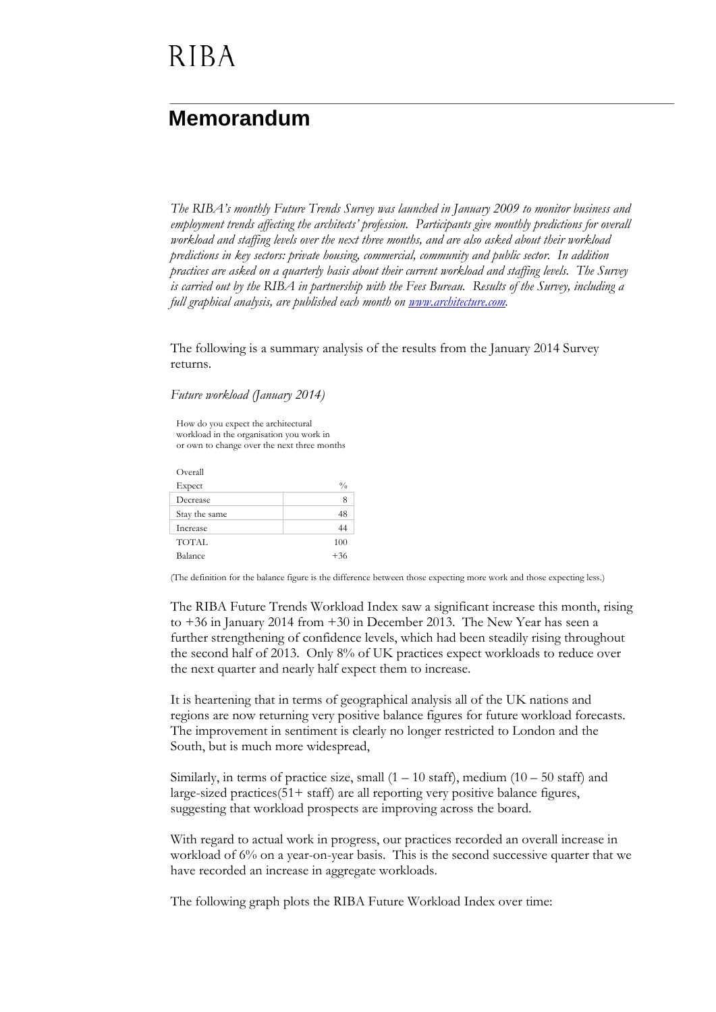#### **Memorandum**

*The RIBA's monthly Future Trends Survey was launched in January 2009 to monitor business and employment trends affecting the architects' profession. Participants give monthly predictions for overall workload and staffing levels over the next three months, and are also asked about their workload predictions in key sectors: private housing, commercial, community and public sector. In addition practices are asked on a quarterly basis about their current workload and staffing levels. The Survey is carried out by the RIBA in partnership with the Fees Bureau. Results of the Survey, including a full graphical analysis, are published each month on [www.architecture.com.](http://www.architecture.com/)*

The following is a summary analysis of the results from the January 2014 Survey returns.

*Future workload (January 2014)*

How do you expect the architectural workload in the organisation you work in or own to change over the next three months

Overall  $\mathbf{Expected}$   $\%$ Decrease 8 Stay the same 48 Increase 44 TOTAL 100 Balance  $+36$ 

(The definition for the balance figure is the difference between those expecting more work and those expecting less.)

The RIBA Future Trends Workload Index saw a significant increase this month, rising to +36 in January 2014 from +30 in December 2013. The New Year has seen a further strengthening of confidence levels, which had been steadily rising throughout the second half of 2013. Only 8% of UK practices expect workloads to reduce over the next quarter and nearly half expect them to increase.

It is heartening that in terms of geographical analysis all of the UK nations and regions are now returning very positive balance figures for future workload forecasts. The improvement in sentiment is clearly no longer restricted to London and the South, but is much more widespread,

Similarly, in terms of practice size, small  $(1 - 10 \text{ staff})$ , medium  $(10 - 50 \text{ staff})$  and large-sized practices(51+ staff) are all reporting very positive balance figures, suggesting that workload prospects are improving across the board.

With regard to actual work in progress, our practices recorded an overall increase in workload of 6% on a year-on-year basis. This is the second successive quarter that we have recorded an increase in aggregate workloads.

The following graph plots the RIBA Future Workload Index over time: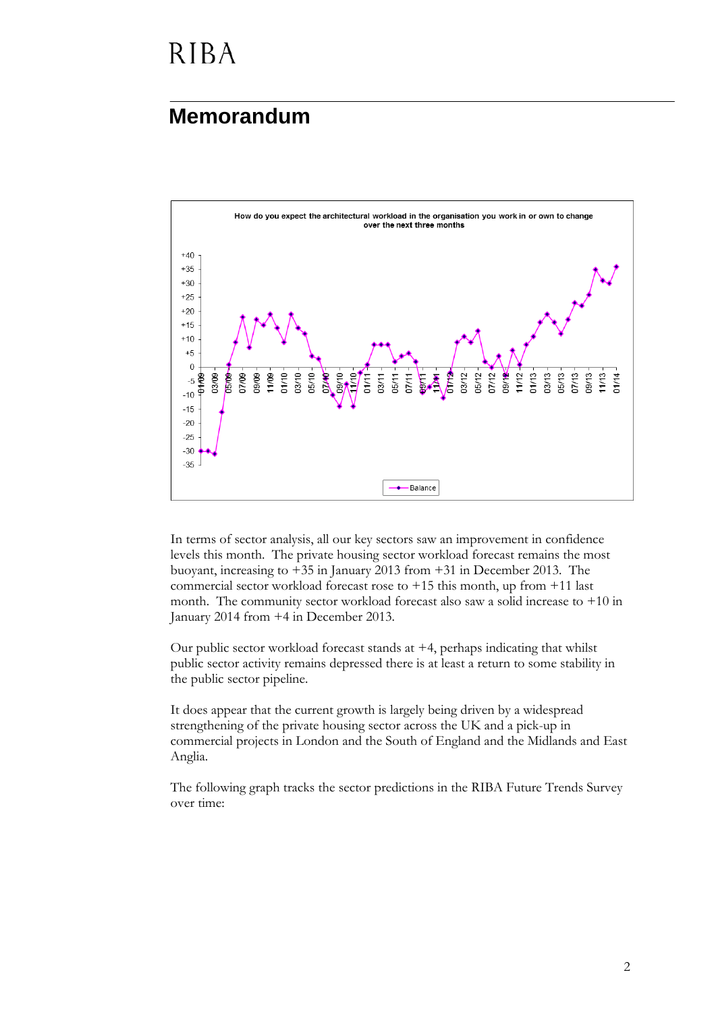#### **Memorandum**



In terms of sector analysis, all our key sectors saw an improvement in confidence levels this month. The private housing sector workload forecast remains the most buoyant, increasing to +35 in January 2013 from +31 in December 2013. The commercial sector workload forecast rose to  $+15$  this month, up from  $+11$  last month. The community sector workload forecast also saw a solid increase to +10 in January 2014 from +4 in December 2013.

Our public sector workload forecast stands at +4, perhaps indicating that whilst public sector activity remains depressed there is at least a return to some stability in the public sector pipeline.

It does appear that the current growth is largely being driven by a widespread strengthening of the private housing sector across the UK and a pick-up in commercial projects in London and the South of England and the Midlands and East Anglia.

The following graph tracks the sector predictions in the RIBA Future Trends Survey over time: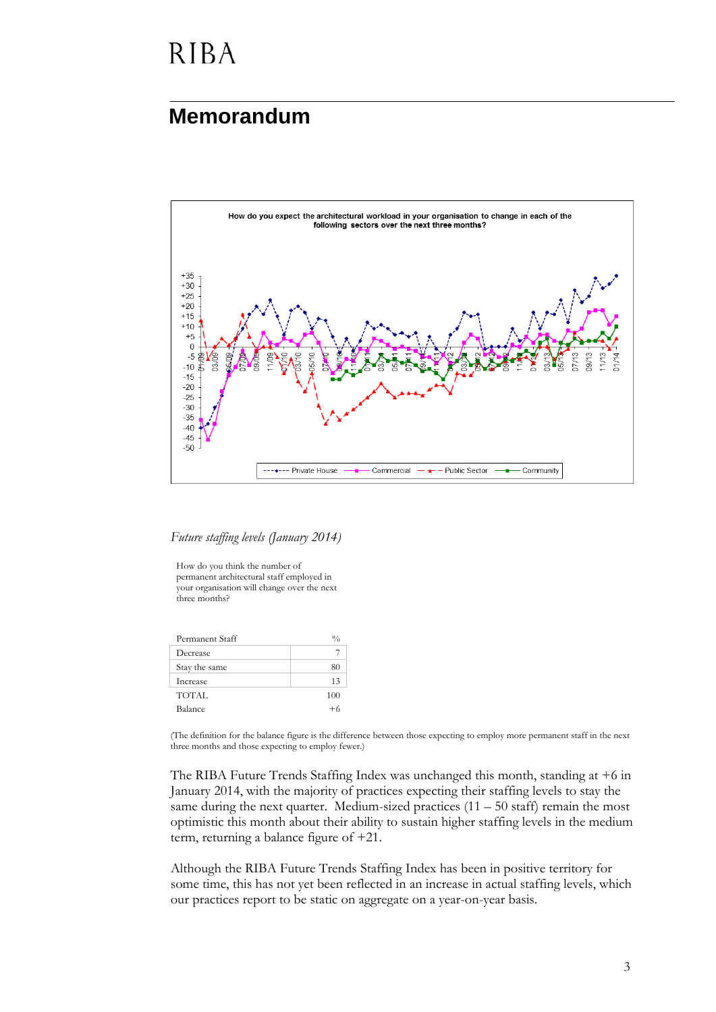#### **Memorandum**



*Future staffing levels (January 2014)*

How do you think the number of permanent architectural staff employed in your organisation will change over the next three months?

| Permanent Staff |      |
|-----------------|------|
| Decrease        |      |
| Stay the same   | 80   |
| Increase        | 13   |
| TOTAL           | 100  |
| Balance         | $+6$ |

(The definition for the balance figure is the difference between those expecting to employ more permanent staff in the next three months and those expecting to employ fewer.)

The RIBA Future Trends Staffing Index was unchanged this month, standing at +6 in January 2014, with the majority of practices expecting their staffing levels to stay the same during the next quarter. Medium-sized practices  $(11 - 50 \text{ staff})$  remain the most optimistic this month about their ability to sustain higher staffing levels in the medium term, returning a balance figure of +21.

Although the RIBA Future Trends Staffing Index has been in positive territory for some time, this has not yet been reflected in an increase in actual staffing levels, which our practices report to be static on aggregate on a year-on-year basis.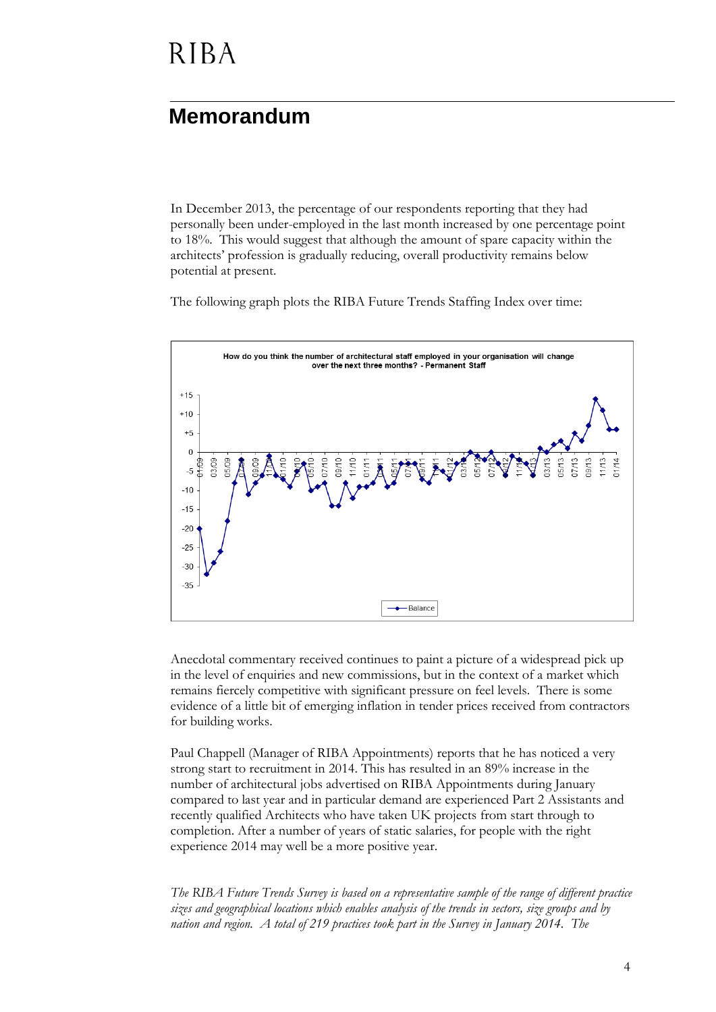#### **Memorandum**

In December 2013, the percentage of our respondents reporting that they had personally been under-employed in the last month increased by one percentage point to 18%. This would suggest that although the amount of spare capacity within the architects' profession is gradually reducing, overall productivity remains below potential at present.

The following graph plots the RIBA Future Trends Staffing Index over time:



Anecdotal commentary received continues to paint a picture of a widespread pick up in the level of enquiries and new commissions, but in the context of a market which remains fiercely competitive with significant pressure on feel levels. There is some evidence of a little bit of emerging inflation in tender prices received from contractors for building works.

Paul Chappell (Manager of RIBA Appointments) reports that he has noticed a very strong start to recruitment in 2014. This has resulted in an 89% increase in the number of architectural jobs advertised on RIBA Appointments during January compared to last year and in particular demand are experienced Part 2 Assistants and recently qualified Architects who have taken UK projects from start through to completion. After a number of years of static salaries, for people with the right experience 2014 may well be a more positive year.

*The RIBA Future Trends Survey is based on a representative sample of the range of different practice sizes and geographical locations which enables analysis of the trends in sectors, size groups and by nation and region. A total of 219 practices took part in the Survey in January 2014. The*